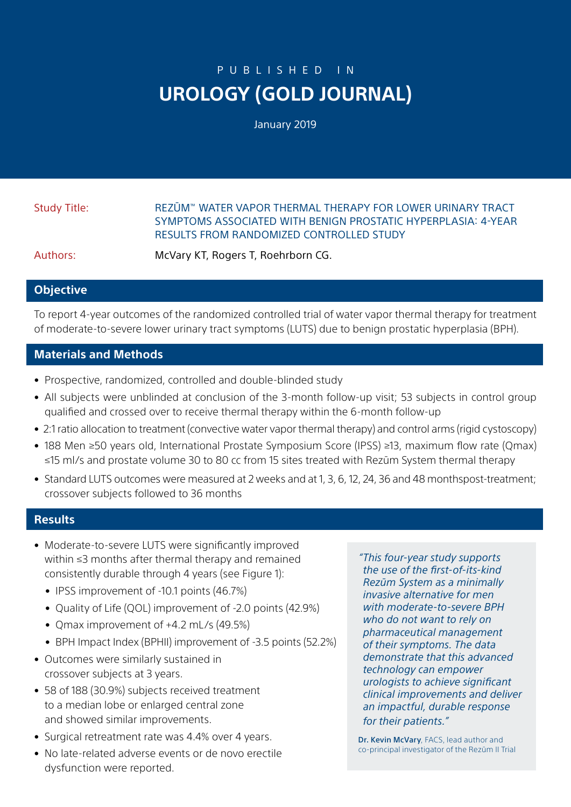# PUBLISHED IN **UROLOGY (GOLD JOURNAL)**

January 2019

## Study Title: REZŪM™ WATER VAPOR THERMAL THERAPY FOR LOWER URINARY TRACT SYMPTOMS ASSOCIATED WITH BENIGN PROSTATIC HYPERPLASIA: 4-YEAR RESULTS FROM RANDOMIZED CONTROLLED STUDY

Authors: McVary KT, Rogers T, Roehrborn CG.

### **Objective**

To report 4-year outcomes of the randomized controlled trial of water vapor thermal therapy for treatment of moderate-to-severe lower urinary tract symptoms (LUTS) due to benign prostatic hyperplasia (BPH).

### **Materials and Methods**

- Prospective, randomized, controlled and double-blinded study
- All subjects were unblinded at conclusion of the 3-month follow-up visit; 53 subjects in control group qualified and crossed over to receive thermal therapy within the 6-month follow-up
- 2:1 ratio allocation to treatment (convective water vapor thermal therapy) and control arms (rigid cystoscopy)
- 188 Men ≥50 years old, International Prostate Symposium Score (IPSS) ≥13, maximum flow rate (Qmax) ≤15 ml/s and prostate volume 30 to 80 cc from 15 sites treated with Rezūm System thermal therapy
- Standard LUTS outcomes were measured at 2 weeks and at 1, 3, 6, 12, 24, 36 and 48 monthspost-treatment; crossover subjects followed to 36 months

### **Results**

- Moderate-to-severe LUTS were significantly improved within ≤3 months after thermal therapy and remained consistently durable through 4 years (see Figure 1):
	- IPSS improvement of -10.1 points (46.7%)
	- Quality of Life (QOL) improvement of -2.0 points (42.9%)
	- Qmax improvement of +4.2 mL/s (49.5%)
	- BPH Impact Index (BPHII) improvement of -3.5 points (52.2%)
- Outcomes were similarly sustained in crossover subjects at 3 years.
- 58 of 188 (30.9%) subjects received treatment to a median lobe or enlarged central zone and showed similar improvements.
- Surgical retreatment rate was 4.4% over 4 years.
- No late-related adverse events or de novo erectile dysfunction were reported.

*"This four-year study supports the use of the first-of-its-kind Rezūm System as a minimally invasive alternative for men with moderate-to-severe BPH who do not want to rely on pharmaceutical management of their symptoms. The data demonstrate that this advanced technology can empower urologists to achieve significant clinical improvements and deliver an impactful, durable response for their patients."*

Dr. Kevin McVary, FACS, lead author and co-principal investigator of the Rezūm II Trial